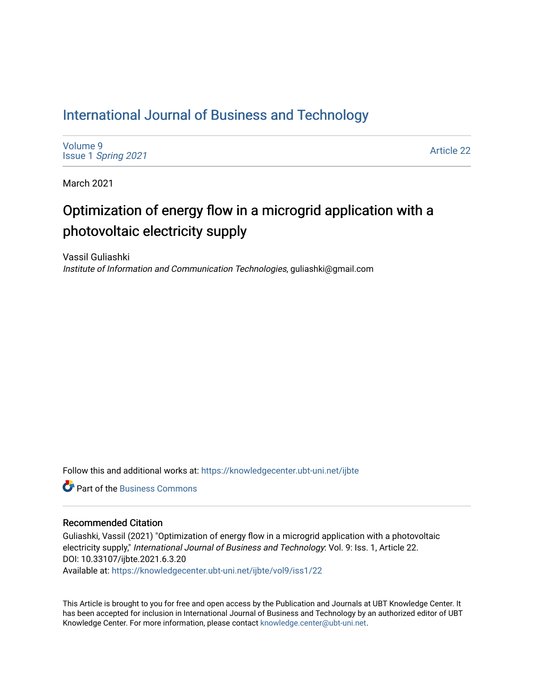## [International Journal of Business and Technology](https://knowledgecenter.ubt-uni.net/ijbte)

[Volume 9](https://knowledgecenter.ubt-uni.net/ijbte/vol9) Issue 1 [Spring 2021](https://knowledgecenter.ubt-uni.net/ijbte/vol9/iss1) 

[Article 22](https://knowledgecenter.ubt-uni.net/ijbte/vol9/iss1/22) 

March 2021

# Optimization of energy flow in a microgrid application with a photovoltaic electricity supply

Vassil Guliashki Institute of Information and Communication Technologies, guliashki@gmail.com

Follow this and additional works at: [https://knowledgecenter.ubt-uni.net/ijbte](https://knowledgecenter.ubt-uni.net/ijbte?utm_source=knowledgecenter.ubt-uni.net%2Fijbte%2Fvol9%2Fiss1%2F22&utm_medium=PDF&utm_campaign=PDFCoverPages) 

**C** Part of the [Business Commons](https://network.bepress.com/hgg/discipline/622?utm_source=knowledgecenter.ubt-uni.net%2Fijbte%2Fvol9%2Fiss1%2F22&utm_medium=PDF&utm_campaign=PDFCoverPages)

## Recommended Citation

Guliashki, Vassil (2021) "Optimization of energy flow in a microgrid application with a photovoltaic electricity supply," International Journal of Business and Technology: Vol. 9: Iss. 1, Article 22. DOI: 10.33107/ijbte.2021.6.3.20

Available at: [https://knowledgecenter.ubt-uni.net/ijbte/vol9/iss1/22](https://knowledgecenter.ubt-uni.net/ijbte/vol9/iss1/22?utm_source=knowledgecenter.ubt-uni.net%2Fijbte%2Fvol9%2Fiss1%2F22&utm_medium=PDF&utm_campaign=PDFCoverPages) 

This Article is brought to you for free and open access by the Publication and Journals at UBT Knowledge Center. It has been accepted for inclusion in International Journal of Business and Technology by an authorized editor of UBT Knowledge Center. For more information, please contact [knowledge.center@ubt-uni.net](mailto:knowledge.center@ubt-uni.net).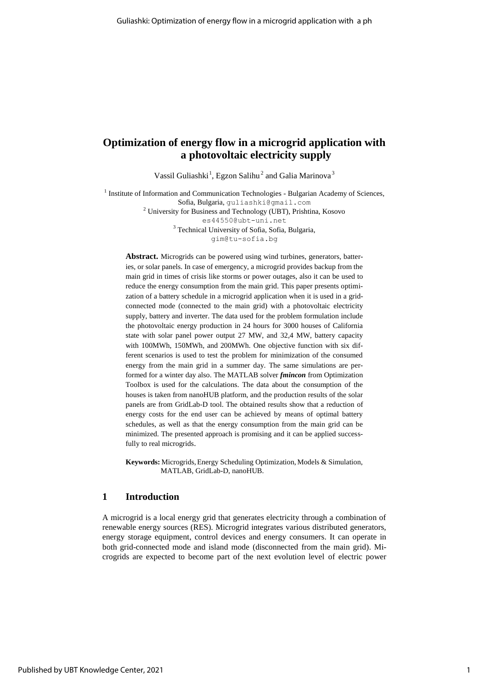## **Optimization of energy flow in a microgrid application with a photovoltaic electricity supply**

Vassil Guliashki<sup>1</sup>, Egzon Salihu<sup>2</sup> and Galia Marinova<sup>3</sup>

<sup>1</sup> Institute of Information and Communication Technologies - Bulgarian Academy of Sciences, Sofia, Bulgaria, [guliashki@gmail.com](mailto:guliashki@gmail.com) <sup>2</sup> University for Business and Technology (UBT), Prishtina, Kosovo [es44550@ubt-uni.net](mailto:es44550@ubt-uni.net) <sup>3</sup> Technical University of Sofia, Sofia, Bulgaria, [gim@tu-sofia.bg](mailto:gim@tu-sofia.bg)

**Abstract.** Microgrids can be powered using wind turbines, generators, batteries, or solar panels. In case of emergency, a microgrid provides backup from the main grid in times of crisis like storms or power outages, also it can be used to reduce the energy consumption from the main grid. This paper presents optimization of a battery schedule in a microgrid application when it is used in a gridconnected mode (connected to the main grid) with a photovoltaic electricity supply, battery and inverter. The data used for the problem formulation include the photovoltaic energy production in 24 hours for 3000 houses of California state with solar panel power output 27 MW, and 32,4 MW, battery capacity with 100MWh, 150MWh, and 200MWh. One objective function with six different scenarios is used to test the problem for minimization of the consumed energy from the main grid in a summer day. The same simulations are performed for a winter day also. The MATLAB solver *fmincon* from Optimization Toolbox is used for the calculations. The data about the consumption of the houses is taken from nanoHUB platform, and the production results of the solar panels are from GridLab-D tool. The obtained results show that a reduction of energy costs for the end user can be achieved by means of optimal battery schedules, as well as that the energy consumption from the main grid can be minimized. The presented approach is promising and it can be applied successfully to real microgrids.

**Keywords:** Microgrids,Energy Scheduling Optimization, Models & Simulation, MATLAB, GridLab-D, nanoHUB.

## **1 Introduction**

A microgrid is a local energy grid that generates electricity through a combination of renewable energy sources (RES). Microgrid integrates various distributed generators, energy storage equipment, control devices and energy consumers. It can operate in both grid-connected mode and island mode (disconnected from the main grid). Microgrids are expected to become part of the next evolution level of electric power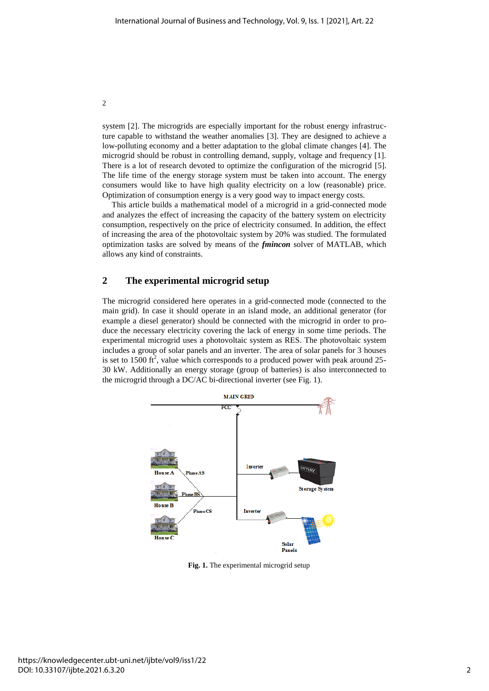system [2]. The microgrids are especially important for the robust energy infrastructure capable to withstand the weather anomalies [3]. They are designed to achieve a low-polluting economy and a better adaptation to the global climate changes [4]. The microgrid should be robust in controlling demand, supply, voltage and frequency [1]. There is a lot of research devoted to optimize the configuration of the microgrid [5]. The life time of the energy storage system must be taken into account. The energy consumers would like to have high quality electricity on a low (reasonable) price. Optimization of consumption energy is a very good way to impact energy costs.

This article builds a mathematical model of a microgrid in a grid-connected mode and analyzes the effect of increasing the capacity of the battery system on electricity consumption, respectively on the price of electricity consumed. In addition, the effect of increasing the area of the photovoltaic system by 20% was studied. The formulated optimization tasks are solved by means of the *fmincon* solver of MATLAB, which allows any kind of constraints.

## **2 The experimental microgrid setup**

The microgrid considered here operates in a grid-connected mode (connected to the main grid). In case it should operate in an island mode, an additional generator (for example a diesel generator) should be connected with the microgrid in order to produce the necessary electricity covering the lack of energy in some time periods. The experimental microgrid uses a photovoltaic system as RES. The photovoltaic system includes a group of solar panels and an inverter. The area of solar panels for 3 houses is set to 1500 ft<sup>2</sup>, value which corresponds to a produced power with peak around 25-30 kW. Additionally an energy storage (group of batteries) is also interconnected to the microgrid through a DC/AC bi-directional inverter (see Fig. 1).



**Fig. 1.** The experimental microgrid setup

2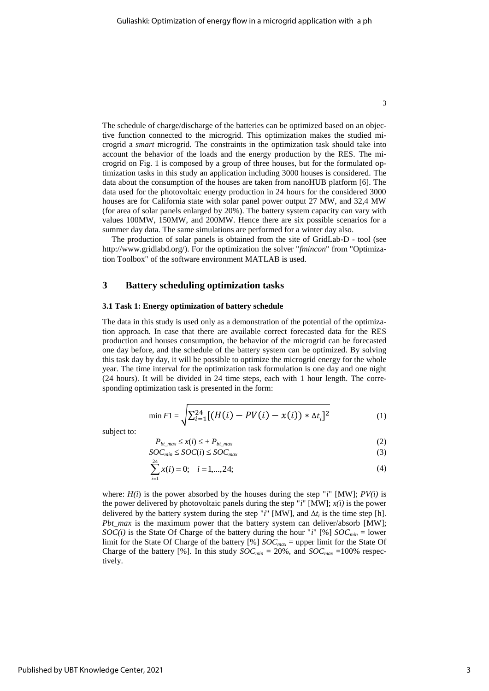The schedule of charge/discharge of the batteries can be optimized based on an objective function connected to the microgrid. This optimization makes the studied microgrid a *smart* microgrid. The constraints in the optimization task should take into account the behavior of the loads and the energy production by the RES. The microgrid on Fig. 1 is composed by a group of three houses, but for the formulated optimization tasks in this study an application including 3000 houses is considered. The data about the consumption of the houses are taken from nanoHUB platform [6]. The data used for the photovoltaic energy production in 24 hours for the considered 3000 houses are for California state with solar panel power output 27 MW, and 32,4 MW (for area of solar panels enlarged by 20%). The battery system capacity can vary with values 100MW, 150MW, and 200MW. Hence there are six possible scenarios for a summer day data. The same simulations are performed for a winter day also.

The production of solar panels is obtained from the site of GridLab-D - tool (see [http://www.gridlabd.org/\)](http://www.gridlabd.org/). For the optimization the solver "*fmincon*" from "Optimization Toolbox" of the software environment MATLAB is used.

## **3 Battery scheduling optimization tasks**

#### **3.1 Task 1: Energy optimization of battery schedule**

The data in this study is used only as a demonstration of the potential of the optimization approach. In case that there are available correct forecasted data for the RES production and houses consumption, the behavior of the microgrid can be forecasted one day before, and the schedule of the battery system can be optimized. By solving this task day by day, it will be possible to optimize the microgrid energy for the whole year. The time interval for the optimization task formulation is one day and one night (24 hours). It will be divided in 24 time steps, each with 1 hour length. The corresponding optimization task is presented in the form:

$$
\min F1 = \sqrt{\sum_{i=1}^{24} [(H(i) - PV(i) - x(i)) * \Delta t_i]^2}
$$
 (1)

subject to:

$$
-P_{bt\_max} \le x(i) \le +P_{bt\_max} \tag{2}
$$

$$
SOC_{min} \leq SOC(i) \leq SOC_{max}
$$
 (3)

$$
\sum_{i=1}^{24} x(i) = 0; \quad i = 1, \dots, 24; \tag{4}
$$

where:  $H(i)$  is the power absorbed by the houses during the step " $i$ " [MW];  $PV(i)$  is the power delivered by photovoltaic panels during the step " $i$ " [MW];  $x(i)$  is the power delivered by the battery system during the step "*i*" [MW], and  $\Delta t_i$  is the time step [h]. *Pbt max* is the maximum power that the battery system can deliver/absorb [MW]; *SOC(i)* is the State Of Charge of the battery during the hour "*i*" [%]  $SOC_{min} =$  lower limit for the State Of Charge of the battery [%] *SOCmax* = upper limit for the State Of Charge of the battery [%]. In this study  $SOC_{min} = 20\%$ , and  $SOC_{max} = 100\%$  respectively.

3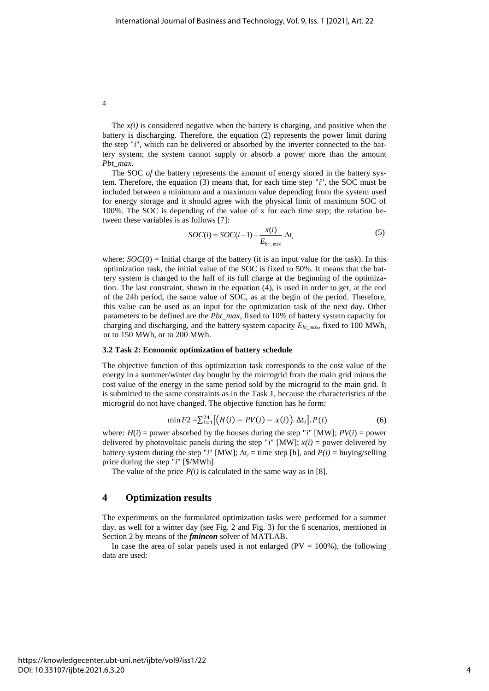4

The  $x(i)$  is considered negative when the battery is charging, and positive when the battery is discharging. Therefore, the equation (2) represents the power limit during the step "*i*", which can be delivered or absorbed by the inverter connected to the battery system; the system cannot supply or absorb a power more than the amount *Pbt\_max*.

The SOC *of* the battery represents the amount of energy stored in the battery system. Therefore, the equation (3) means that, for each time step "*i*", the SOC must be included between a minimum and a maximum value depending from the system used for energy storage and it should agree with the physical limit of maximum SOC of 100%. The SOC is depending of the value of x for each time step; the relation between these variables is as follows [7]:

$$
SOC(i) = SOC(i-1) - \frac{x(i)}{E_{b_{t_{\text{max}}}}}\Delta t_i
$$
\n(5)

where:  $SOC(0)$  = Initial charge of the battery (it is an input value for the task). In this optimization task, the initial value of the SOC is fixed to 50%. It means that the battery system is charged to the half of its full charge at the beginning of the optimization. The last constraint, shown in the equation (4), is used in order to get, at the end of the 24h period, the same value of SOC, as at the begin of the period. Therefore, this value can be used as an input for the optimization task of the next day. Other parameters to be defined are the *Pbt\_max*, fixed to 10% of battery system capacity for charging and discharging, and the battery system capacity  $E_{bt\ max}$ , fixed to 100 MWh, or to 150 MWh, or to 200 MWh.

#### **3.2 Task 2: Economic optimization of battery schedule**

The objective function of this optimization task corresponds to the cost value of the energy in a summer/winter day bought by the microgrid from the main grid minus the cost value of the energy in the same period sold by the microgrid to the main grid. It is submitted to the same constraints as in the Task 1, because the characteristics of the microgrid do not have changed. The objective function has he form:

$$
\min F2 = \sum_{i=1}^{24} \left[ \left( H(i) - PV(i) - x(i) \right) . \Delta t_i \right]. P(i) \tag{6}
$$

where:  $H(i)$  = power absorbed by the houses during the step "*i*" [MW];  $PV(i)$  = power delivered by photovoltaic panels during the step " $i$ " [MW];  $x(i)$  = power delivered by battery system during the step "*i*" [MW];  $\Delta t_i =$  time step [h], and  $P(i) =$  buying/selling price during the step "*i*" [\$/MWh]

The value of the price  $P(i)$  is calculated in the same way as in [8].

### **4 Optimization results**

The experiments on the formulated optimization tasks were performed for a summer day, as well for a winter day (see Fig. 2 and Fig. 3) for the 6 scenarios, mentioned in Section 2 by means of the *fmincon* solver of MATLAB.

In case the area of solar panels used is not enlarged ( $PV = 100\%$ ), the following data are used: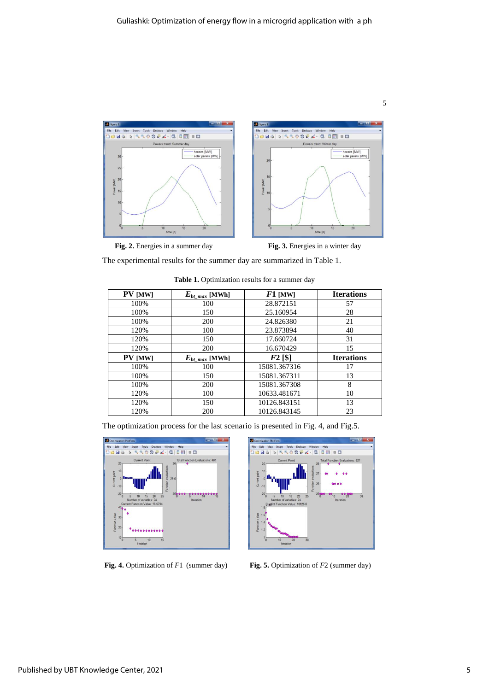

Fig. 2. Energies in a summer day Fig. 3. Energies in a winter day

The experimental results for the summer day are summarized in Table 1.

| PV [MW]        | $E_{bt \ max}$ [MWh] | $F1$ [MW]    | <b>Iterations</b> |
|----------------|----------------------|--------------|-------------------|
| 100%           | 100                  | 28.872151    | 57                |
| 100%           | 150                  | 25.160954    | 28                |
| 100%           | 200                  | 24.826380    | 21                |
| 120%           | 100                  | 23.873894    | 40                |
| 120%           | 150                  | 17.660724    | 31                |
| 120%           | 200                  | 16.670429    | 15                |
| <b>PV</b> [MW] | $E_{bt \ max}$ [MWh] | $F2$ [\$]    | <b>Iterations</b> |
| 100%           | 100                  | 15081.367316 | 17                |
| 100%           | 150                  | 15081.367311 | 13                |
| 100%           | 200                  | 15081.367308 | 8                 |
| 120%           | 100                  | 10633.481671 | 10                |
| 120%           | 150                  | 10126.843151 | 13                |
| 120%           | 200                  | 10126.843145 | 23                |

The optimization process for the last scenario is presented in Fig. 4, and Fig.5.

Table 1. Optimization results for a summer day

Help<br>| 0 03 | 11 03  $\frac{1}{2}$  $\overline{a}$ **DIA**  $\Delta$ he.  $\frac{1}{10}$ 

**Fig. 4.** Optimization of *F*1 (summer day) **Fig. 5.** Optimization of *F*2 (summer day)

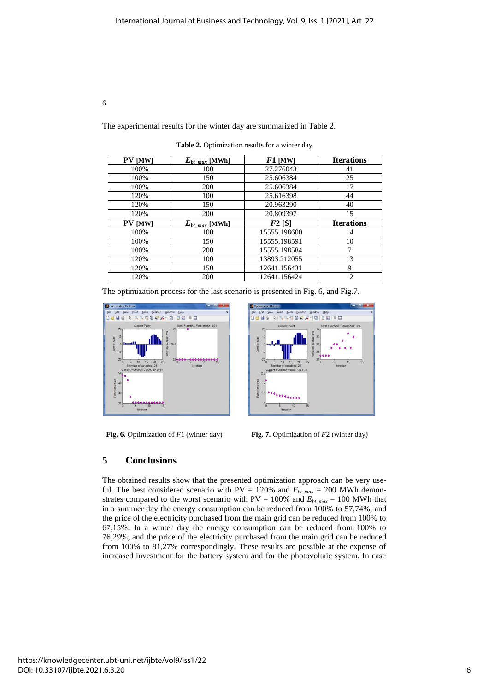The experimental results for the winter day are summarized in Table 2.

Table 2. Optimization results for a winter day

| <b>PV</b> [MW] | $E_{bt \ max}$ [MWh] | $F1$ [MW]    | <b>Iterations</b> |
|----------------|----------------------|--------------|-------------------|
| 100%           | 100                  | 27.276043    | 41                |
| 100%           | 150                  | 25.606384    | 25                |
| 100%           | 200                  | 25.606384    | 17                |
| 120%           | 100                  | 25.616398    | 44                |
| 120%           | 150                  | 20.963290    | 40                |
| 120%           | 200                  | 20.809397    | 15                |
| <b>PV</b> [MW] | $E_{bt \ max}$ [MWh] | $F2$ [\$]    | <b>Iterations</b> |
| 100%           | 100                  | 15555.198600 | 14                |
| 100%           | 150                  | 15555.198591 | 10                |
| 100%           | 200                  | 15555.198584 | 7                 |
| 120%           | 100                  | 13893.212055 | 13                |
| 120%           | 150                  | 12641.156431 | 9                 |
| 120%           | 200                  | 12641.156424 | 12                |

The optimization process for the last scenario is presented in Fig. 6, and Fig.7.





**Fig. 6.** Optimization of *F*1 (winter day) **Fig. 7.** Optimization of *F*2 (winter day)

## **5 Conclusions**

6

The obtained results show that the presented optimization approach can be very useful. The best considered scenario with  $PV = 120\%$  and  $E_{bt\text{ max}} = 200$  MWh demonstrates compared to the worst scenario with PV = 100% and  $E_{bt\text{ max}} = 100$  MWh that in a summer day the energy consumption can be reduced from 100% to 57,74%, and the price of the electricity purchased from the main grid can be reduced from 100% to 67,15%. In a winter day the energy consumption can be reduced from 100% to 76,29%, and the price of the electricity purchased from the main grid can be reduced from 100% to 81,27% correspondingly. These results are possible at the expense of increased investment for the battery system and for the photovoltaic system. In case